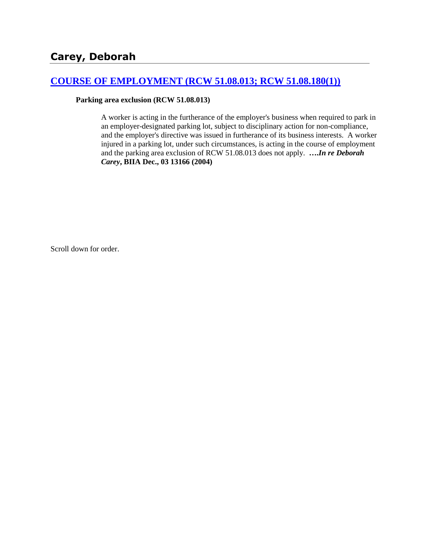# **[COURSE OF EMPLOYMENT \(RCW 51.08.013; RCW 51.08.180\(1\)\)](http://www.biia.wa.gov/SDSubjectIndex.html#COURSE_OF_EMPLOYMENT)**

#### **Parking area exclusion (RCW 51.08.013)**

A worker is acting in the furtherance of the employer's business when required to park in an employer-designated parking lot, subject to disciplinary action for non-compliance, and the employer's directive was issued in furtherance of its business interests. A worker injured in a parking lot, under such circumstances, is acting in the course of employment and the parking area exclusion of RCW 51.08.013 does not apply. **….***In re Deborah Carey***, BIIA Dec., 03 13166 (2004)** 

Scroll down for order.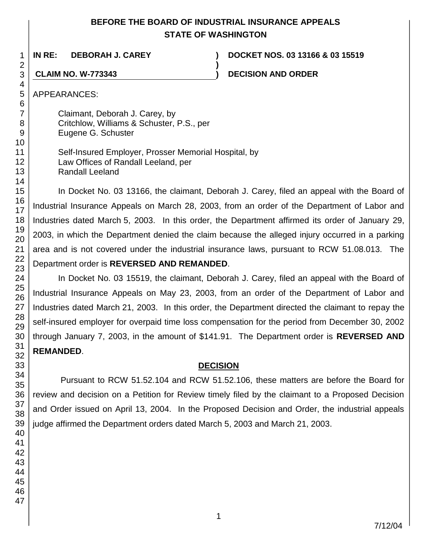# **BEFORE THE BOARD OF INDUSTRIAL INSURANCE APPEALS STATE OF WASHINGTON**

**)**

**IN RE: DEBORAH J. CAREY ) DOCKET NOS. 03 13166 & 03 15519**

**CLAIM NO. W-773343 ) DECISION AND ORDER**

APPEARANCES:

Claimant, Deborah J. Carey, by Critchlow, Williams & Schuster, P.S., per Eugene G. Schuster

Self-Insured Employer, Prosser Memorial Hospital, by Law Offices of Randall Leeland, per Randall Leeland

In Docket No. 03 13166, the claimant, Deborah J. Carey, filed an appeal with the Board of Industrial Insurance Appeals on March 28, 2003, from an order of the Department of Labor and Industries dated March 5, 2003. In this order, the Department affirmed its order of January 29, 2003, in which the Department denied the claim because the alleged injury occurred in a parking area and is not covered under the industrial insurance laws, pursuant to RCW 51.08.013. The Department order is **REVERSED AND REMANDED**.

In Docket No. 03 15519, the claimant, Deborah J. Carey, filed an appeal with the Board of Industrial Insurance Appeals on May 23, 2003, from an order of the Department of Labor and Industries dated March 21, 2003. In this order, the Department directed the claimant to repay the self-insured employer for overpaid time loss compensation for the period from December 30, 2002 through January 7, 2003, in the amount of \$141.91. The Department order is **REVERSED AND REMANDED**.

# **DECISION**

Pursuant to RCW 51.52.104 and RCW 51.52.106, these matters are before the Board for review and decision on a Petition for Review timely filed by the claimant to a Proposed Decision and Order issued on April 13, 2004. In the Proposed Decision and Order, the industrial appeals judge affirmed the Department orders dated March 5, 2003 and March 21, 2003.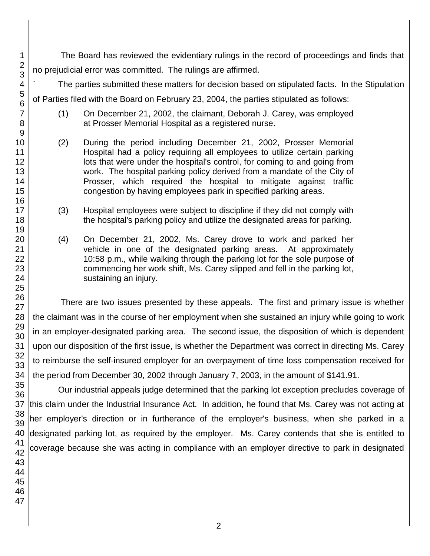The Board has reviewed the evidentiary rulings in the record of proceedings and finds that no prejudicial error was committed. The rulings are affirmed.

The parties submitted these matters for decision based on stipulated facts. In the Stipulation of Parties filed with the Board on February 23, 2004, the parties stipulated as follows:

- (1) On December 21, 2002, the claimant, Deborah J. Carey, was employed at Prosser Memorial Hospital as a registered nurse.
- (2) During the period including December 21, 2002, Prosser Memorial Hospital had a policy requiring all employees to utilize certain parking lots that were under the hospital's control, for coming to and going from work. The hospital parking policy derived from a mandate of the City of Prosser, which required the hospital to mitigate against traffic congestion by having employees park in specified parking areas.
- (3) Hospital employees were subject to discipline if they did not comply with the hospital's parking policy and utilize the designated areas for parking.
- (4) On December 21, 2002, Ms. Carey drove to work and parked her vehicle in one of the designated parking areas. At approximately 10:58 p.m., while walking through the parking lot for the sole purpose of commencing her work shift, Ms. Carey slipped and fell in the parking lot, sustaining an injury.

There are two issues presented by these appeals. The first and primary issue is whether the claimant was in the course of her employment when she sustained an injury while going to work in an employer-designated parking area. The second issue, the disposition of which is dependent upon our disposition of the first issue, is whether the Department was correct in directing Ms. Carey to reimburse the self-insured employer for an overpayment of time loss compensation received for the period from December 30, 2002 through January 7, 2003, in the amount of \$141.91.

Our industrial appeals judge determined that the parking lot exception precludes coverage of this claim under the Industrial Insurance Act. In addition, he found that Ms. Carey was not acting at her employer's direction or in furtherance of the employer's business, when she parked in a designated parking lot, as required by the employer. Ms. Carey contends that she is entitled to coverage because she was acting in compliance with an employer directive to park in designated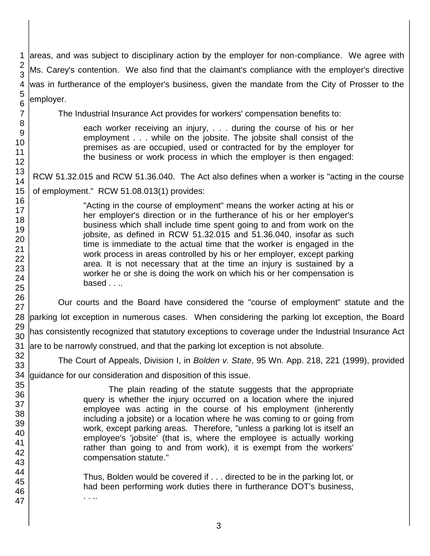1 2 3 4 areas, and was subject to disciplinary action by the employer for non-compliance. We agree with Ms. Carey's contention. We also find that the claimant's compliance with the employer's directive was in furtherance of the employer's business, given the mandate from the City of Prosser to the employer.

The Industrial Insurance Act provides for workers' compensation benefits to:

each worker receiving an injury, . . . during the course of his or her employment . . . while on the jobsite. The jobsite shall consist of the premises as are occupied, used or contracted for by the employer for the business or work process in which the employer is then engaged:

RCW 51.32.015 and RCW 51.36.040. The Act also defines when a worker is "acting in the course of employment." RCW 51.08.013(1) provides:

> "Acting in the course of employment" means the worker acting at his or her employer's direction or in the furtherance of his or her employer's business which shall include time spent going to and from work on the jobsite, as defined in RCW 51.32.015 and 51.36.040, insofar as such time is immediate to the actual time that the worker is engaged in the work process in areas controlled by his or her employer, except parking area. It is not necessary that at the time an injury is sustained by a worker he or she is doing the work on which his or her compensation is  $based$ ...

28 parking lot exception in numerous cases. When considering the parking lot exception, the Board Our courts and the Board have considered the "course of employment" statute and the has consistently recognized that statutory exceptions to coverage under the Industrial Insurance Act are to be narrowly construed, and that the parking lot exception is not absolute.

The Court of Appeals, Division I, in *Bolden v. State*, 95 Wn. App. 218, 221 (1999), provided

34 guidance for our consideration and disposition of this issue.

The plain reading of the statute suggests that the appropriate query is whether the injury occurred on a location where the injured employee was acting in the course of his employment (inherently including a jobsite) or a location where he was coming to or going from work, except parking areas. Therefore, "unless a parking lot is itself an employee's 'jobsite' (that is, where the employee is actually working rather than going to and from work), it is exempt from the workers' compensation statute."

Thus, Bolden would be covered if . . . directed to be in the parking lot, or had been performing work duties there in furtherance DOT's business, . . ..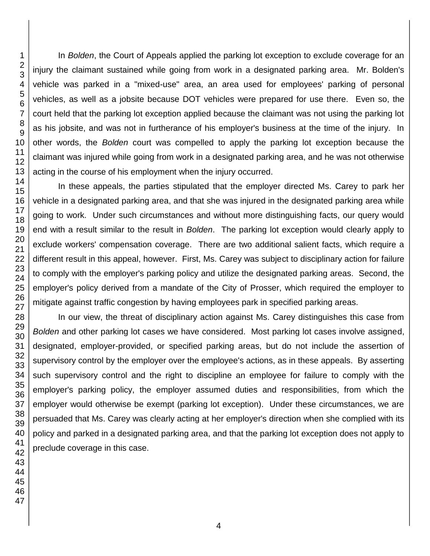In *Bolden*, the Court of Appeals applied the parking lot exception to exclude coverage for an injury the claimant sustained while going from work in a designated parking area. Mr. Bolden's vehicle was parked in a "mixed-use" area, an area used for employees' parking of personal vehicles, as well as a jobsite because DOT vehicles were prepared for use there. Even so, the court held that the parking lot exception applied because the claimant was not using the parking lot as his jobsite, and was not in furtherance of his employer's business at the time of the injury. In other words, the *Bolden* court was compelled to apply the parking lot exception because the claimant was injured while going from work in a designated parking area, and he was not otherwise acting in the course of his employment when the injury occurred.

In these appeals, the parties stipulated that the employer directed Ms. Carey to park her vehicle in a designated parking area, and that she was injured in the designated parking area while going to work. Under such circumstances and without more distinguishing facts, our query would end with a result similar to the result in *Bolden*. The parking lot exception would clearly apply to exclude workers' compensation coverage. There are two additional salient facts, which require a different result in this appeal, however. First, Ms. Carey was subject to disciplinary action for failure to comply with the employer's parking policy and utilize the designated parking areas. Second, the employer's policy derived from a mandate of the City of Prosser, which required the employer to mitigate against traffic congestion by having employees park in specified parking areas.

In our view, the threat of disciplinary action against Ms. Carey distinguishes this case from *Bolden* and other parking lot cases we have considered. Most parking lot cases involve assigned, designated, employer-provided, or specified parking areas, but do not include the assertion of supervisory control by the employer over the employee's actions, as in these appeals. By asserting such supervisory control and the right to discipline an employee for failure to comply with the employer's parking policy, the employer assumed duties and responsibilities, from which the employer would otherwise be exempt (parking lot exception). Under these circumstances, we are persuaded that Ms. Carey was clearly acting at her employer's direction when she complied with its policy and parked in a designated parking area, and that the parking lot exception does not apply to preclude coverage in this case.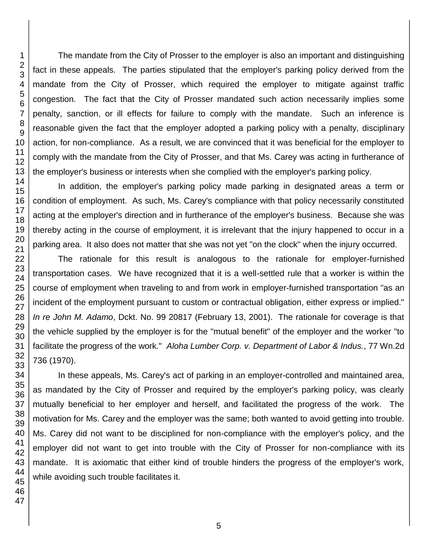The mandate from the City of Prosser to the employer is also an important and distinguishing fact in these appeals. The parties stipulated that the employer's parking policy derived from the mandate from the City of Prosser, which required the employer to mitigate against traffic congestion. The fact that the City of Prosser mandated such action necessarily implies some penalty, sanction, or ill effects for failure to comply with the mandate. Such an inference is reasonable given the fact that the employer adopted a parking policy with a penalty, disciplinary action, for non-compliance. As a result, we are convinced that it was beneficial for the employer to comply with the mandate from the City of Prosser, and that Ms. Carey was acting in furtherance of the employer's business or interests when she complied with the employer's parking policy.

In addition, the employer's parking policy made parking in designated areas a term or condition of employment. As such, Ms. Carey's compliance with that policy necessarily constituted acting at the employer's direction and in furtherance of the employer's business. Because she was thereby acting in the course of employment, it is irrelevant that the injury happened to occur in a parking area. It also does not matter that she was not yet "on the clock" when the injury occurred.

The rationale for this result is analogous to the rationale for employer-furnished transportation cases. We have recognized that it is a well-settled rule that a worker is within the course of employment when traveling to and from work in employer-furnished transportation "as an incident of the employment pursuant to custom or contractual obligation, either express or implied." *In re John M. Adamo*, Dckt. No. 99 20817 (February 13, 2001). The rationale for coverage is that the vehicle supplied by the employer is for the "mutual benefit" of the employer and the worker "to facilitate the progress of the work." *Aloha Lumber Corp. v. Department of Labor & Indus.*, 77 Wn.2d 736 (1970).

In these appeals, Ms. Carey's act of parking in an employer-controlled and maintained area, as mandated by the City of Prosser and required by the employer's parking policy, was clearly mutually beneficial to her employer and herself, and facilitated the progress of the work. The motivation for Ms. Carey and the employer was the same; both wanted to avoid getting into trouble. Ms. Carey did not want to be disciplined for non-compliance with the employer's policy, and the employer did not want to get into trouble with the City of Prosser for non-compliance with its mandate. It is axiomatic that either kind of trouble hinders the progress of the employer's work, while avoiding such trouble facilitates it.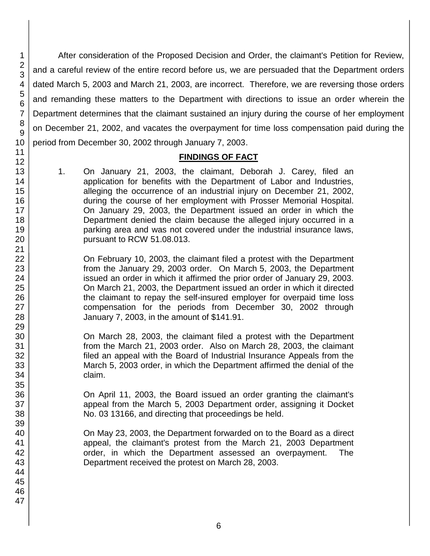After consideration of the Proposed Decision and Order, the claimant's Petition for Review, and a careful review of the entire record before us, we are persuaded that the Department orders dated March 5, 2003 and March 21, 2003, are incorrect. Therefore, we are reversing those orders and remanding these matters to the Department with directions to issue an order wherein the Department determines that the claimant sustained an injury during the course of her employment on December 21, 2002, and vacates the overpayment for time loss compensation paid during the period from December 30, 2002 through January 7, 2003.

#### **FINDINGS OF FACT**

1. On January 21, 2003, the claimant, Deborah J. Carey, filed an application for benefits with the Department of Labor and Industries, alleging the occurrence of an industrial injury on December 21, 2002, during the course of her employment with Prosser Memorial Hospital. On January 29, 2003, the Department issued an order in which the Department denied the claim because the alleged injury occurred in a parking area and was not covered under the industrial insurance laws, pursuant to RCW 51.08.013.

On February 10, 2003, the claimant filed a protest with the Department from the January 29, 2003 order. On March 5, 2003, the Department issued an order in which it affirmed the prior order of January 29, 2003. On March 21, 2003, the Department issued an order in which it directed the claimant to repay the self-insured employer for overpaid time loss compensation for the periods from December 30, 2002 through January 7, 2003, in the amount of \$141.91.

On March 28, 2003, the claimant filed a protest with the Department from the March 21, 2003 order. Also on March 28, 2003, the claimant filed an appeal with the Board of Industrial Insurance Appeals from the March 5, 2003 order, in which the Department affirmed the denial of the claim.

On April 11, 2003, the Board issued an order granting the claimant's appeal from the March 5, 2003 Department order, assigning it Docket No. 03 13166, and directing that proceedings be held.

On May 23, 2003, the Department forwarded on to the Board as a direct appeal, the claimant's protest from the March 21, 2003 Department order, in which the Department assessed an overpayment. The Department received the protest on March 28, 2003.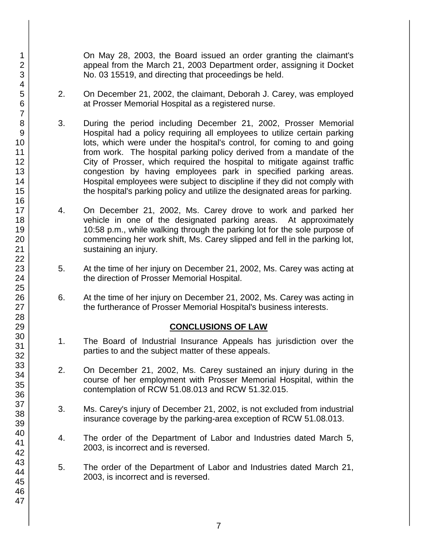On May 28, 2003, the Board issued an order granting the claimant's appeal from the March 21, 2003 Department order, assigning it Docket No. 03 15519, and directing that proceedings be held.

- 2. On December 21, 2002, the claimant, Deborah J. Carey, was employed at Prosser Memorial Hospital as a registered nurse.
- 3. During the period including December 21, 2002, Prosser Memorial Hospital had a policy requiring all employees to utilize certain parking lots, which were under the hospital's control, for coming to and going from work. The hospital parking policy derived from a mandate of the City of Prosser, which required the hospital to mitigate against traffic congestion by having employees park in specified parking areas. Hospital employees were subject to discipline if they did not comply with the hospital's parking policy and utilize the designated areas for parking.
- 4. On December 21, 2002, Ms. Carey drove to work and parked her vehicle in one of the designated parking areas. At approximately 10:58 p.m., while walking through the parking lot for the sole purpose of commencing her work shift, Ms. Carey slipped and fell in the parking lot, sustaining an injury.
- 5. At the time of her injury on December 21, 2002, Ms. Carey was acting at the direction of Prosser Memorial Hospital.
- 6. At the time of her injury on December 21, 2002, Ms. Carey was acting in the furtherance of Prosser Memorial Hospital's business interests.

# **CONCLUSIONS OF LAW**

- 1. The Board of Industrial Insurance Appeals has jurisdiction over the parties to and the subject matter of these appeals.
- 2. On December 21, 2002, Ms. Carey sustained an injury during in the course of her employment with Prosser Memorial Hospital, within the contemplation of RCW 51.08.013 and RCW 51.32.015.
- 3. Ms. Carey's injury of December 21, 2002, is not excluded from industrial insurance coverage by the parking-area exception of RCW 51.08.013.
- 4. The order of the Department of Labor and Industries dated March 5, 2003, is incorrect and is reversed.
- 5. The order of the Department of Labor and Industries dated March 21, 2003, is incorrect and is reversed.